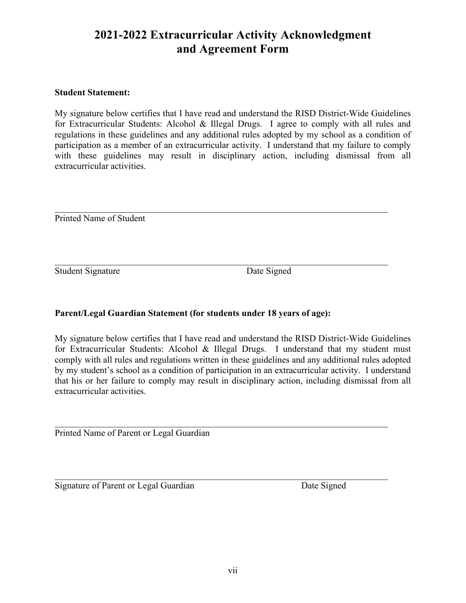## **2021-2022 Extracurricular Activity Acknowledgment and Agreement Form**

#### **Student Statement:**

My signature below certifies that I have read and understand the RISD District-Wide Guidelines for Extracurricular Students: Alcohol & Illegal Drugs. I agree to comply with all rules and regulations in these guidelines and any additional rules adopted by my school as a condition of participation as a member of an extracurricular activity. I understand that my failure to comply with these guidelines may result in disciplinary action, including dismissal from all extracurricular activities.

 $\mathcal{L}_\mathcal{L} = \{ \mathcal{L}_\mathcal{L} = \{ \mathcal{L}_\mathcal{L} = \{ \mathcal{L}_\mathcal{L} = \{ \mathcal{L}_\mathcal{L} = \{ \mathcal{L}_\mathcal{L} = \{ \mathcal{L}_\mathcal{L} = \{ \mathcal{L}_\mathcal{L} = \{ \mathcal{L}_\mathcal{L} = \{ \mathcal{L}_\mathcal{L} = \{ \mathcal{L}_\mathcal{L} = \{ \mathcal{L}_\mathcal{L} = \{ \mathcal{L}_\mathcal{L} = \{ \mathcal{L}_\mathcal{L} = \{ \mathcal{L}_\mathcal{$ 

 $\mathcal{L}_\mathcal{L} = \{ \mathcal{L}_\mathcal{L} = \{ \mathcal{L}_\mathcal{L} = \{ \mathcal{L}_\mathcal{L} = \{ \mathcal{L}_\mathcal{L} = \{ \mathcal{L}_\mathcal{L} = \{ \mathcal{L}_\mathcal{L} = \{ \mathcal{L}_\mathcal{L} = \{ \mathcal{L}_\mathcal{L} = \{ \mathcal{L}_\mathcal{L} = \{ \mathcal{L}_\mathcal{L} = \{ \mathcal{L}_\mathcal{L} = \{ \mathcal{L}_\mathcal{L} = \{ \mathcal{L}_\mathcal{L} = \{ \mathcal{L}_\mathcal{$ 

Printed Name of Student

Student Signature Date Signed

### **Parent/Legal Guardian Statement (for students under 18 years of age):**

My signature below certifies that I have read and understand the RISD District-Wide Guidelines for Extracurricular Students: Alcohol & Illegal Drugs. I understand that my student must comply with all rules and regulations written in these guidelines and any additional rules adopted by my student's school as a condition of participation in an extracurricular activity. I understand that his or her failure to comply may result in disciplinary action, including dismissal from all extracurricular activities.

 $\mathcal{L}_\mathcal{L} = \{ \mathcal{L}_\mathcal{L} = \{ \mathcal{L}_\mathcal{L} = \{ \mathcal{L}_\mathcal{L} = \{ \mathcal{L}_\mathcal{L} = \{ \mathcal{L}_\mathcal{L} = \{ \mathcal{L}_\mathcal{L} = \{ \mathcal{L}_\mathcal{L} = \{ \mathcal{L}_\mathcal{L} = \{ \mathcal{L}_\mathcal{L} = \{ \mathcal{L}_\mathcal{L} = \{ \mathcal{L}_\mathcal{L} = \{ \mathcal{L}_\mathcal{L} = \{ \mathcal{L}_\mathcal{L} = \{ \mathcal{L}_\mathcal{$ 

 $\mathcal{L}_\mathcal{L} = \{ \mathcal{L}_\mathcal{L} = \{ \mathcal{L}_\mathcal{L} = \{ \mathcal{L}_\mathcal{L} = \{ \mathcal{L}_\mathcal{L} = \{ \mathcal{L}_\mathcal{L} = \{ \mathcal{L}_\mathcal{L} = \{ \mathcal{L}_\mathcal{L} = \{ \mathcal{L}_\mathcal{L} = \{ \mathcal{L}_\mathcal{L} = \{ \mathcal{L}_\mathcal{L} = \{ \mathcal{L}_\mathcal{L} = \{ \mathcal{L}_\mathcal{L} = \{ \mathcal{L}_\mathcal{L} = \{ \mathcal{L}_\mathcal{$ 

Printed Name of Parent or Legal Guardian

Signature of Parent or Legal Guardian Date Signed